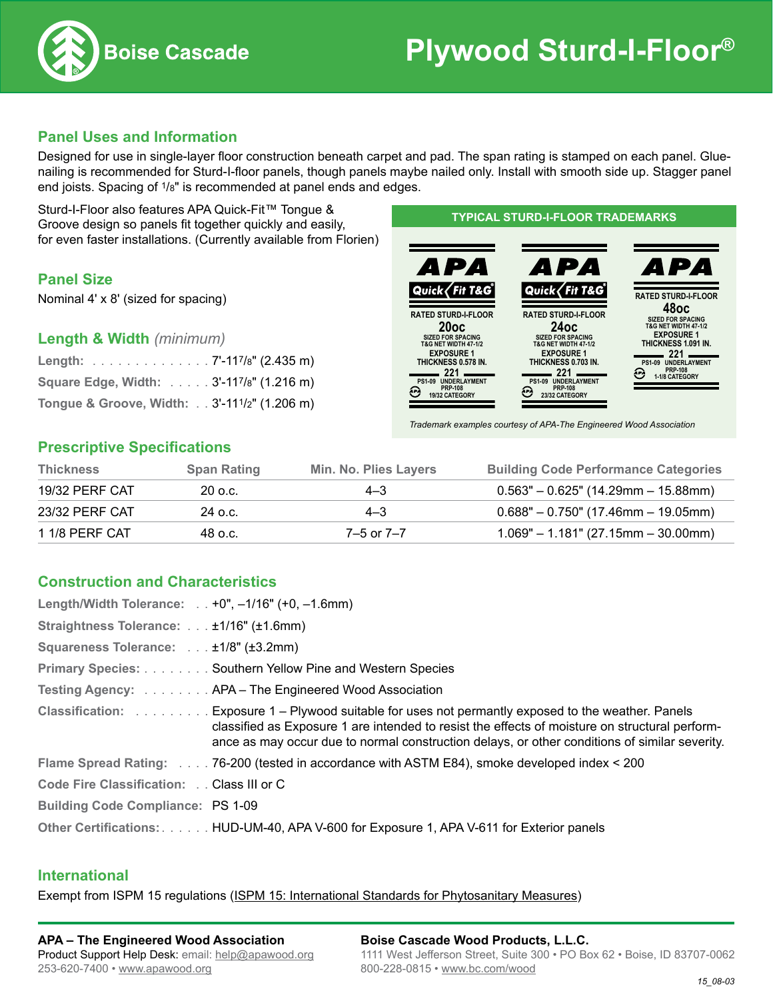

## **Panel Uses and Information**

Designed for use in single-layer floor construction beneath carpet and pad. The span rating is stamped on each panel. Gluenailing is recommended for Sturd-I-floor panels, though panels maybe nailed only. Install with smooth side up. Stagger panel end joists. Spacing of 1/8" is recommended at panel ends and edges.

Sturd-I-Floor also features APA Quick-Fit™ Tongue & Groove design so panels fit together quickly and easily, for even faster installations. (Currently available from Florien)

## **Panel Size**

Nominal 4ʹ x 8ʹ (sized for spacing)

**Length & Width** *(minimum)*

| Length: 7'-117/8" (2.435 m)                 |  |
|---------------------------------------------|--|
| Square Edge, Width: 3'-117/8" (1.216 m)     |  |
| Tongue & Groove, Width: 3'-111/2" (1.206 m) |  |

### **Typical STURD-I-FLOOR Trademarks**



*Trademark examples courtesy of APA-The Engineered Wood Association*

## **Prescriptive Specifications**

| <b>Thickness</b> | <b>Span Rating</b> | Min. No. Plies Layers | <b>Building Code Performance Categories</b> |
|------------------|--------------------|-----------------------|---------------------------------------------|
| 19/32 PERF CAT   | 20 o.c.            | $4 - 3$               | $0.563" - 0.625"$ (14.29mm - 15.88mm)       |
| 23/32 PERF CAT   | 24 o.c.            | $4 - 3$               | $0.688" - 0.750"$ (17.46mm - 19.05mm)       |
| 1 1/8 PERF CAT   | 48 o.c.            | 7–5 or 7–7            | $1.069" - 1.181" (27.15mm - 30.00mm)$       |

## **Construction and Characteristics**

| Length/Width Tolerance: +0", $-1/16$ " (+0, $-1.6$ mm) |                                                                                                                                                                                                                                                                                                         |
|--------------------------------------------------------|---------------------------------------------------------------------------------------------------------------------------------------------------------------------------------------------------------------------------------------------------------------------------------------------------------|
| Straightness Tolerance: ±1/16" (±1.6mm)                |                                                                                                                                                                                                                                                                                                         |
| Squareness Tolerance: ±1/8" (±3.2mm)                   |                                                                                                                                                                                                                                                                                                         |
|                                                        | Primary Species: Southern Yellow Pine and Western Species                                                                                                                                                                                                                                               |
|                                                        | Testing Agency:  APA – The Engineered Wood Association                                                                                                                                                                                                                                                  |
|                                                        | Classification:  Exposure 1 – Plywood suitable for uses not permantly exposed to the weather. Panels<br>classified as Exposure 1 are intended to resist the effects of moisture on structural perform-<br>ance as may occur due to normal construction delays, or other conditions of similar severity. |
|                                                        | Flame Spread Rating: 76-200 (tested in accordance with ASTM E84), smoke developed index < 200                                                                                                                                                                                                           |
| Code Fire Classification: Class III or C               |                                                                                                                                                                                                                                                                                                         |
| <b>Building Code Compliance: PS 1-09</b>               |                                                                                                                                                                                                                                                                                                         |
|                                                        | Other Certifications: HUD-UM-40, APA V-600 for Exposure 1, APA V-611 for Exterior panels                                                                                                                                                                                                                |

### **International**

Exempt from ISPM 15 regulations (ISPM 15: International Standards for Phytosanitary Measures)